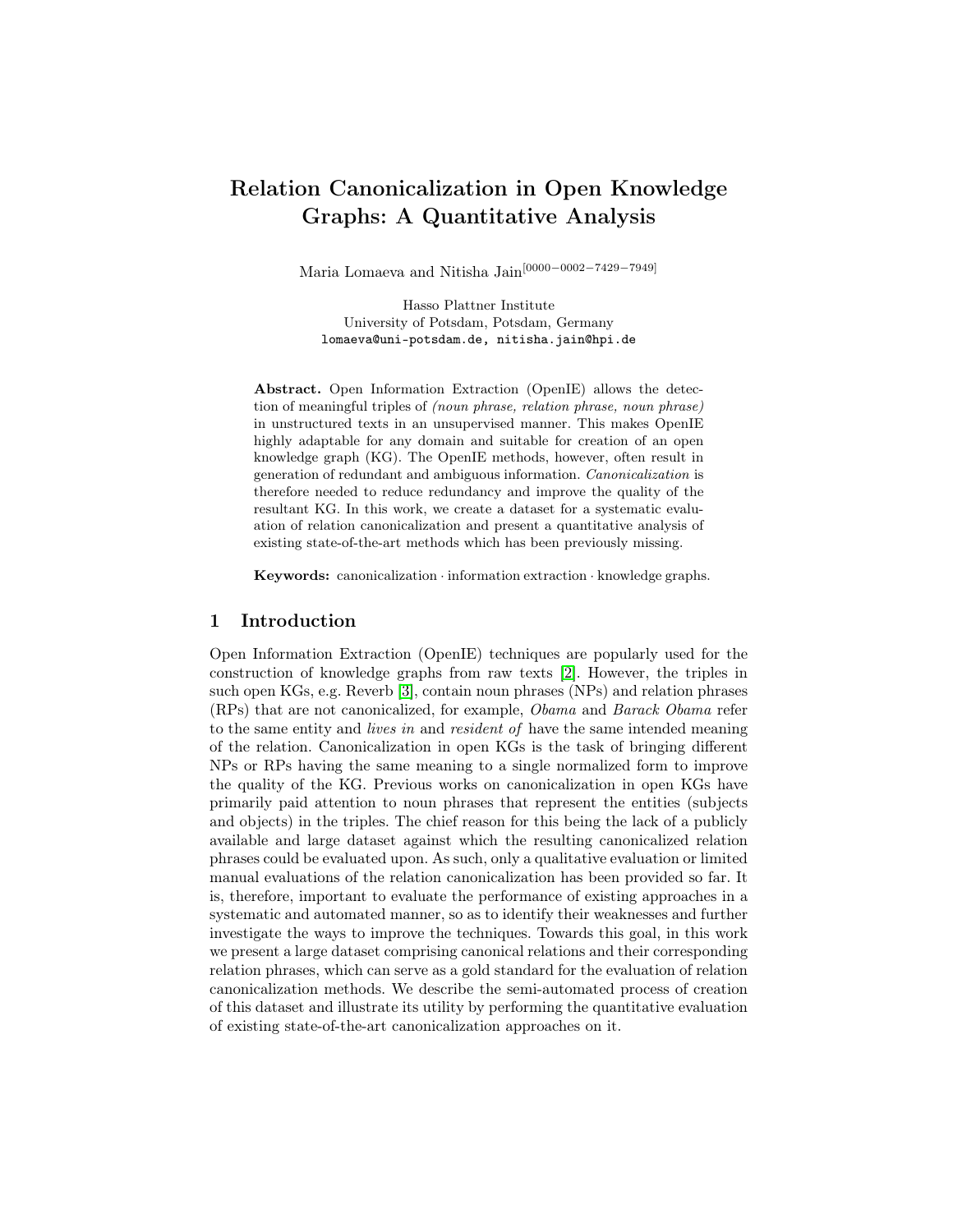# Relation Canonicalization in Open Knowledge Graphs: A Quantitative Analysis

Maria Lomaeva and Nitisha Jain[0000−0002−7429−7949]

Hasso Plattner Institute University of Potsdam, Potsdam, Germany lomaeva@uni-potsdam.de, nitisha.jain@hpi.de

Abstract. Open Information Extraction (OpenIE) allows the detection of meaningful triples of (noun phrase, relation phrase, noun phrase) in unstructured texts in an unsupervised manner. This makes OpenIE highly adaptable for any domain and suitable for creation of an open knowledge graph (KG). The OpenIE methods, however, often result in generation of redundant and ambiguous information. Canonicalization is therefore needed to reduce redundancy and improve the quality of the resultant KG. In this work, we create a dataset for a systematic evaluation of relation canonicalization and present a quantitative analysis of existing state-of-the-art methods which has been previously missing.

**Keywords:** canonicalization  $\cdot$  information extraction  $\cdot$  knowledge graphs.

## 1 Introduction

Open Information Extraction (OpenIE) techniques are popularly used for the construction of knowledge graphs from raw texts [\[2\]](#page-4-0). However, the triples in such open KGs, e.g. Reverb [\[3\]](#page-4-1), contain noun phrases (NPs) and relation phrases (RPs) that are not canonicalized, for example, Obama and Barack Obama refer to the same entity and lives in and resident of have the same intended meaning of the relation. Canonicalization in open KGs is the task of bringing different NPs or RPs having the same meaning to a single normalized form to improve the quality of the KG. Previous works on canonicalization in open KGs have primarily paid attention to noun phrases that represent the entities (subjects and objects) in the triples. The chief reason for this being the lack of a publicly available and large dataset against which the resulting canonicalized relation phrases could be evaluated upon. As such, only a qualitative evaluation or limited manual evaluations of the relation canonicalization has been provided so far. It is, therefore, important to evaluate the performance of existing approaches in a systematic and automated manner, so as to identify their weaknesses and further investigate the ways to improve the techniques. Towards this goal, in this work we present a large dataset comprising canonical relations and their corresponding relation phrases, which can serve as a gold standard for the evaluation of relation canonicalization methods. We describe the semi-automated process of creation of this dataset and illustrate its utility by performing the quantitative evaluation of existing state-of-the-art canonicalization approaches on it.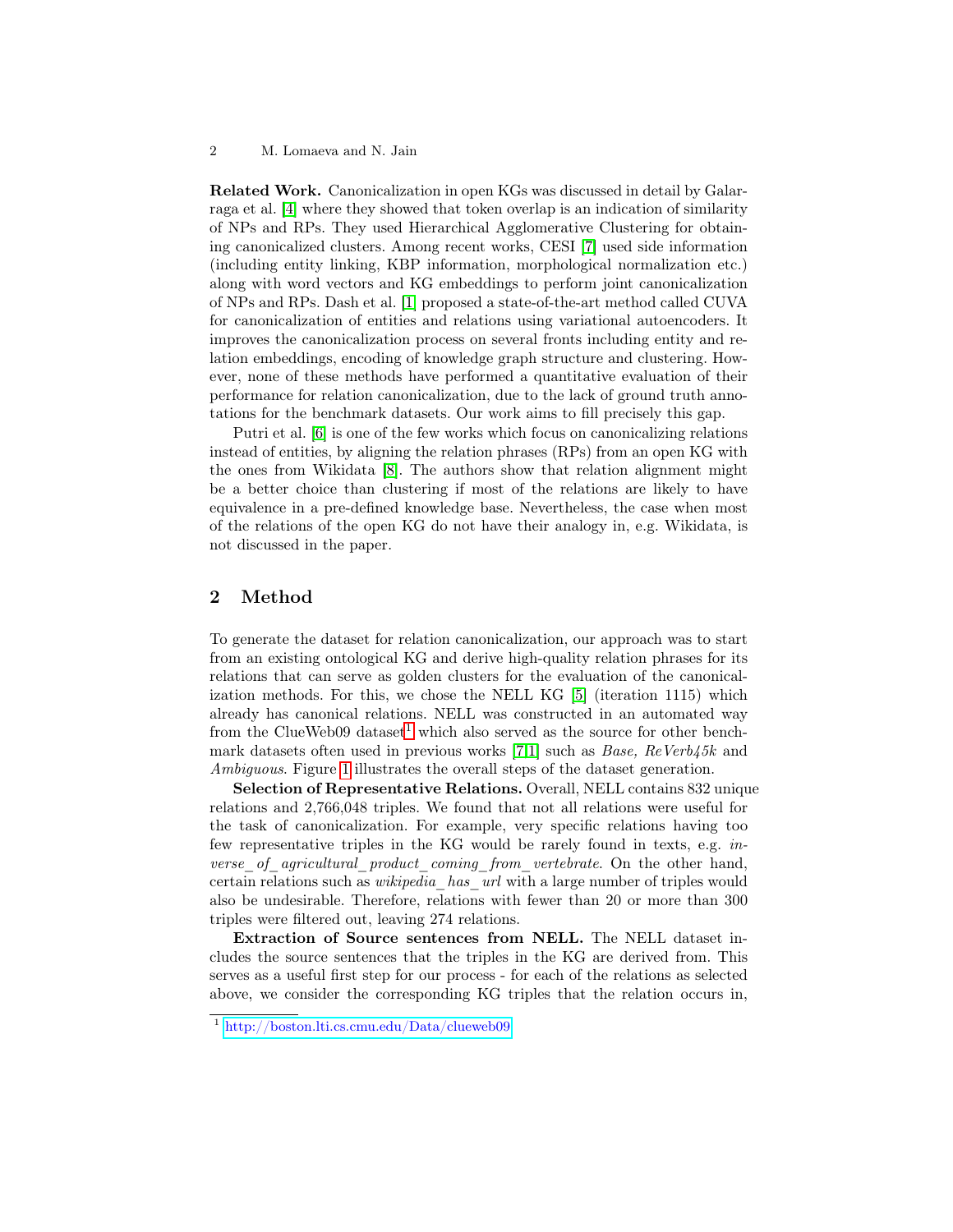2 M. Lomaeva and N. Jain

Related Work. Canonicalization in open KGs was discussed in detail by Galarraga et al. [\[4\]](#page-4-2) where they showed that token overlap is an indication of similarity of NPs and RPs. They used Hierarchical Agglomerative Clustering for obtaining canonicalized clusters. Among recent works, CESI [\[7\]](#page-4-3) used side information (including entity linking, KBP information, morphological normalization etc.) along with word vectors and KG embeddings to perform joint canonicalization of NPs and RPs. Dash et al. [\[1\]](#page-4-4) proposed a state-of-the-art method called CUVA for canonicalization of entities and relations using variational autoencoders. It improves the canonicalization process on several fronts including entity and relation embeddings, encoding of knowledge graph structure and clustering. However, none of these methods have performed a quantitative evaluation of their performance for relation canonicalization, due to the lack of ground truth annotations for the benchmark datasets. Our work aims to fill precisely this gap.

Putri et al. [\[6\]](#page-4-5) is one of the few works which focus on canonicalizing relations instead of entities, by aligning the relation phrases (RPs) from an open KG with the ones from Wikidata [\[8\]](#page-4-6). The authors show that relation alignment might be a better choice than clustering if most of the relations are likely to have equivalence in a pre-defined knowledge base. Nevertheless, the case when most of the relations of the open KG do not have their analogy in, e.g. Wikidata, is not discussed in the paper.

## 2 Method

To generate the dataset for relation canonicalization, our approach was to start from an existing ontological KG and derive high-quality relation phrases for its relations that can serve as golden clusters for the evaluation of the canonicalization methods. For this, we chose the NELL KG [\[5\]](#page-4-7) (iteration 1115) which already has canonical relations. NELL was constructed in an automated way from the ClueWeb09 dataset<sup>[1](#page-1-0)</sup> which also served as the source for other bench-mark datasets often used in previous works [\[7,](#page-4-3)[1\]](#page-4-4) such as *Base*, ReVerb45k and Ambiguous. Figure [1](#page-2-0) illustrates the overall steps of the dataset generation.

Selection of Representative Relations. Overall, NELL contains 832 unique relations and 2,766,048 triples. We found that not all relations were useful for the task of canonicalization. For example, very specific relations having too few representative triples in the KG would be rarely found in texts, e.g. inverse\_of\_agricultural\_product\_coming\_from\_vertebrate. On the other hand, certain relations such as *wikipedia* has url with a large number of triples would also be undesirable. Therefore, relations with fewer than 20 or more than 300 triples were filtered out, leaving 274 relations.

Extraction of Source sentences from NELL. The NELL dataset includes the source sentences that the triples in the KG are derived from. This serves as a useful first step for our process - for each of the relations as selected above, we consider the corresponding KG triples that the relation occurs in,

<span id="page-1-0"></span><sup>1</sup> <http://boston.lti.cs.cmu.edu/Data/clueweb09>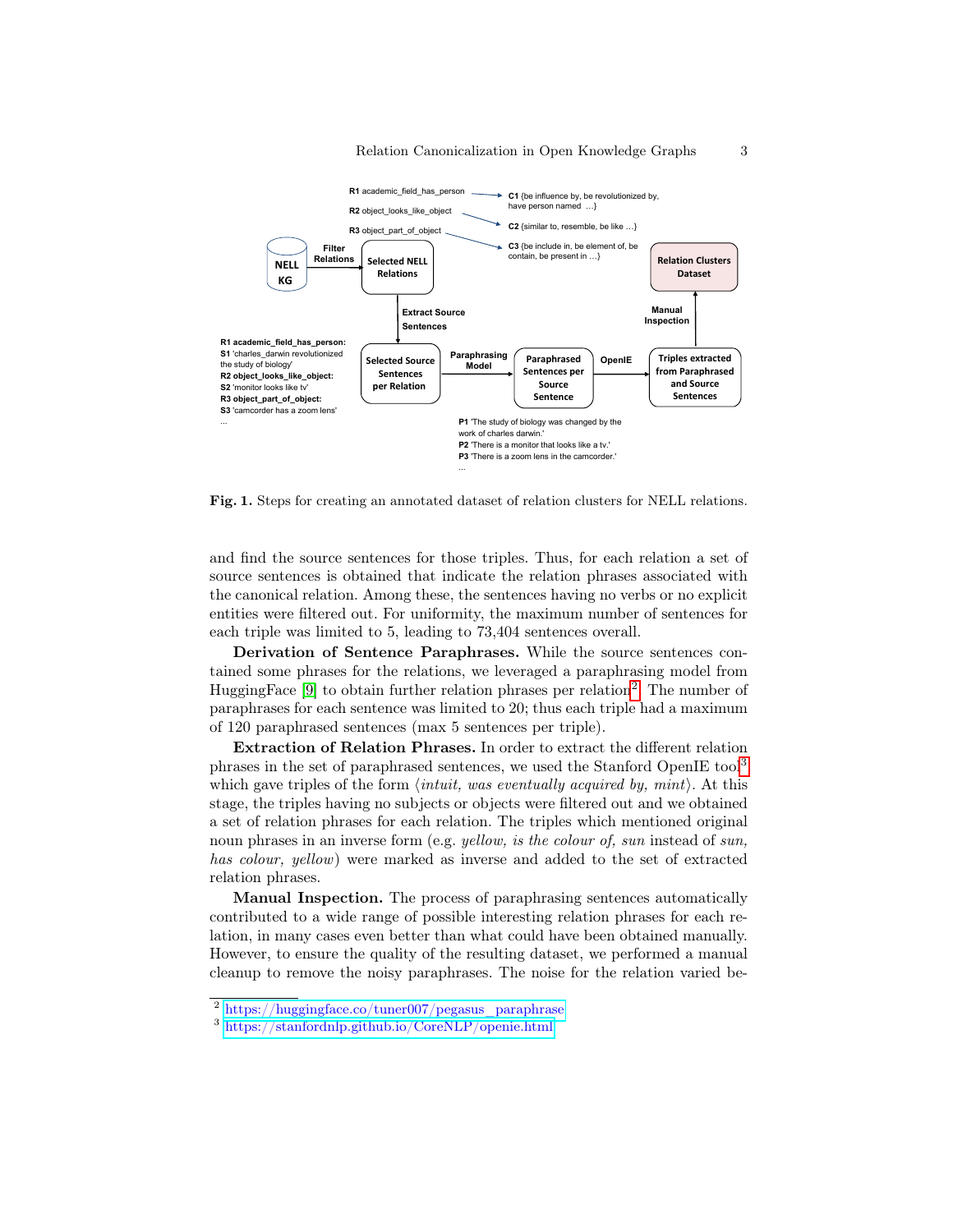

<span id="page-2-0"></span>Fig. 1. Steps for creating an annotated dataset of relation clusters for NELL relations.

and find the source sentences for those triples. Thus, for each relation a set of source sentences is obtained that indicate the relation phrases associated with the canonical relation. Among these, the sentences having no verbs or no explicit entities were filtered out. For uniformity, the maximum number of sentences for each triple was limited to 5, leading to 73,404 sentences overall.

Derivation of Sentence Paraphrases. While the source sentences contained some phrases for the relations, we leveraged a paraphrasing model from HuggingFace [\[9\]](#page-4-8) to obtain further relation phrases per relation<sup>[2](#page-2-1)</sup>. The number of paraphrases for each sentence was limited to 20; thus each triple had a maximum of 120 paraphrased sentences (max 5 sentences per triple).

Extraction of Relation Phrases. In order to extract the different relation phrases in the set of paraphrased sentences, we used the Stanford OpenIE tool[3](#page-2-2) which gave triples of the form *(intuit, was eventually acquired by, mint)*. At this stage, the triples having no subjects or objects were filtered out and we obtained a set of relation phrases for each relation. The triples which mentioned original noun phrases in an inverse form (e.g. *yellow, is the colour of, sun* instead of *sun*, has colour, yellow) were marked as inverse and added to the set of extracted relation phrases.

Manual Inspection. The process of paraphrasing sentences automatically contributed to a wide range of possible interesting relation phrases for each relation, in many cases even better than what could have been obtained manually. However, to ensure the quality of the resulting dataset, we performed a manual cleanup to remove the noisy paraphrases. The noise for the relation varied be-

<span id="page-2-1"></span><sup>2</sup> [https://huggingface.co/tuner007/pegasus\\_paraphrase](https://huggingface.co/tuner007/pegasus_paraphrase)

<span id="page-2-2"></span><sup>3</sup> <https://stanfordnlp.github.io/CoreNLP/openie.html>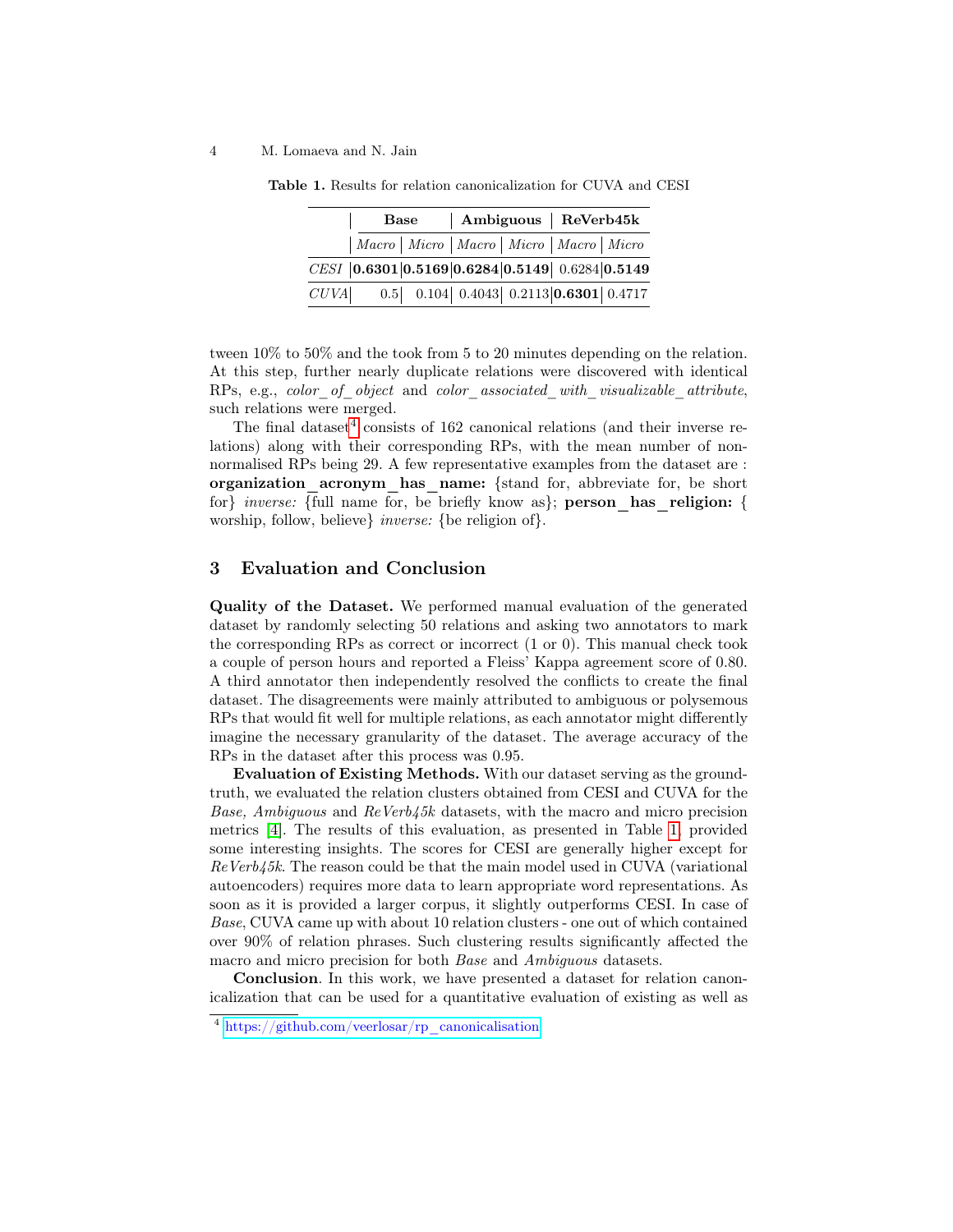#### 4 M. Lomaeva and N. Jain

<span id="page-3-1"></span>

|      | Base                                             |  | Ambiguous   ReVerb45k |                                         |  |  |
|------|--------------------------------------------------|--|-----------------------|-----------------------------------------|--|--|
|      | Macro   Micro   Macro   Micro   Macro   Micro    |  |                       |                                         |  |  |
|      | CESI  0.6301 0.5169 0.6284 0.5149  0.6284 0.5149 |  |                       |                                         |  |  |
| CUVA |                                                  |  |                       | $0.5$ 0.104 0.4043 0.2113 0.6301 0.4717 |  |  |

Table 1. Results for relation canonicalization for CUVA and CESI

tween 10% to 50% and the took from 5 to 20 minutes depending on the relation. At this step, further nearly duplicate relations were discovered with identical RPs, e.g., color of object and color associated with visualizable attribute, such relations were merged.

The final dataset<sup>[4](#page-3-0)</sup> consists of  $162$  canonical relations (and their inverse relations) along with their corresponding RPs, with the mean number of nonnormalised RPs being 29. A few representative examples from the dataset are : organization\_acronym\_has\_name: {stand for, abbreviate for, be short for} inverse: {full name for, be briefly know as}; person\_has\_religion: { worship, follow, believe} *inverse:* {be religion of}.

## 3 Evaluation and Conclusion

Quality of the Dataset. We performed manual evaluation of the generated dataset by randomly selecting 50 relations and asking two annotators to mark the corresponding RPs as correct or incorrect  $(1 \text{ or } 0)$ . This manual check took a couple of person hours and reported a Fleiss' Kappa agreement score of 0.80. A third annotator then independently resolved the conflicts to create the final dataset. The disagreements were mainly attributed to ambiguous or polysemous RPs that would fit well for multiple relations, as each annotator might differently imagine the necessary granularity of the dataset. The average accuracy of the RPs in the dataset after this process was 0.95.

Evaluation of Existing Methods. With our dataset serving as the groundtruth, we evaluated the relation clusters obtained from CESI and CUVA for the Base, Ambiguous and ReVerb45k datasets, with the macro and micro precision metrics [\[4\]](#page-4-2). The results of this evaluation, as presented in Table [1,](#page-3-1) provided some interesting insights. The scores for CESI are generally higher except for  $ReVerb\45k$ . The reason could be that the main model used in CUVA (variational autoencoders) requires more data to learn appropriate word representations. As soon as it is provided a larger corpus, it slightly outperforms CESI. In case of Base, CUVA came up with about 10 relation clusters - one out of which contained over 90% of relation phrases. Such clustering results significantly affected the macro and micro precision for both *Base* and *Ambiguous* datasets.

Conclusion. In this work, we have presented a dataset for relation canonicalization that can be used for a quantitative evaluation of existing as well as

<span id="page-3-0"></span><sup>4</sup> [https://github.com/veerlosar/rp\\_canonicalisation](https://github.com/veerlosar/rp_canonicalisation)